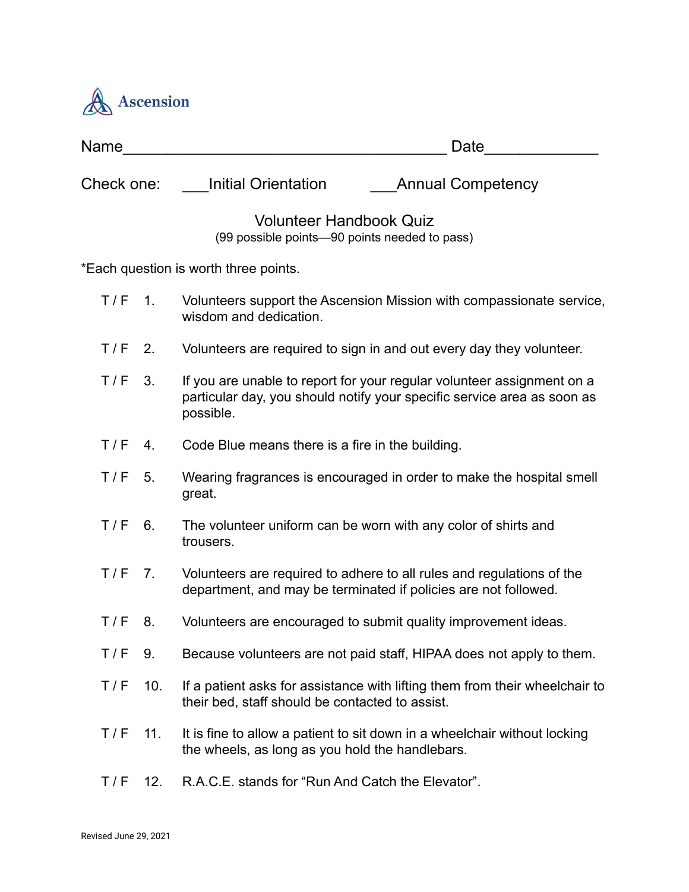

| Name       |                  | Date                                                                                                                                                           |
|------------|------------------|----------------------------------------------------------------------------------------------------------------------------------------------------------------|
| Check one: |                  | <b>Initial Orientation</b><br><b>Annual Competency</b>                                                                                                         |
|            |                  | <b>Volunteer Handbook Quiz</b><br>(99 possible points-90 points needed to pass)                                                                                |
|            |                  | *Each question is worth three points.                                                                                                                          |
| T/F        | $\overline{1}$ . | Volunteers support the Ascension Mission with compassionate service,<br>wisdom and dedication.                                                                 |
| T/F        | 2.               | Volunteers are required to sign in and out every day they volunteer.                                                                                           |
| T/F        | 3.               | If you are unable to report for your regular volunteer assignment on a<br>particular day, you should notify your specific service area as soon as<br>possible. |
| T/F        | 4.               | Code Blue means there is a fire in the building.                                                                                                               |
| T/F        | 5.               | Wearing fragrances is encouraged in order to make the hospital smell<br>great.                                                                                 |
| T/F        | 6.               | The volunteer uniform can be worn with any color of shirts and<br>trousers.                                                                                    |
| $T/F$ 7.   |                  | Volunteers are required to adhere to all rules and regulations of the<br>department, and may be terminated if policies are not followed.                       |
| T/F        | 8.               | Volunteers are encouraged to submit quality improvement ideas.                                                                                                 |
| T/F        | 9.               | Because volunteers are not paid staff, HIPAA does not apply to them.                                                                                           |
| T/F        | 10.              | If a patient asks for assistance with lifting them from their wheelchair to<br>their bed, staff should be contacted to assist.                                 |
| T/F        | 11.              | It is fine to allow a patient to sit down in a wheelchair without locking<br>the wheels, as long as you hold the handlebars.                                   |
| T/F        | 12.              | R.A.C.E. stands for "Run And Catch the Elevator".                                                                                                              |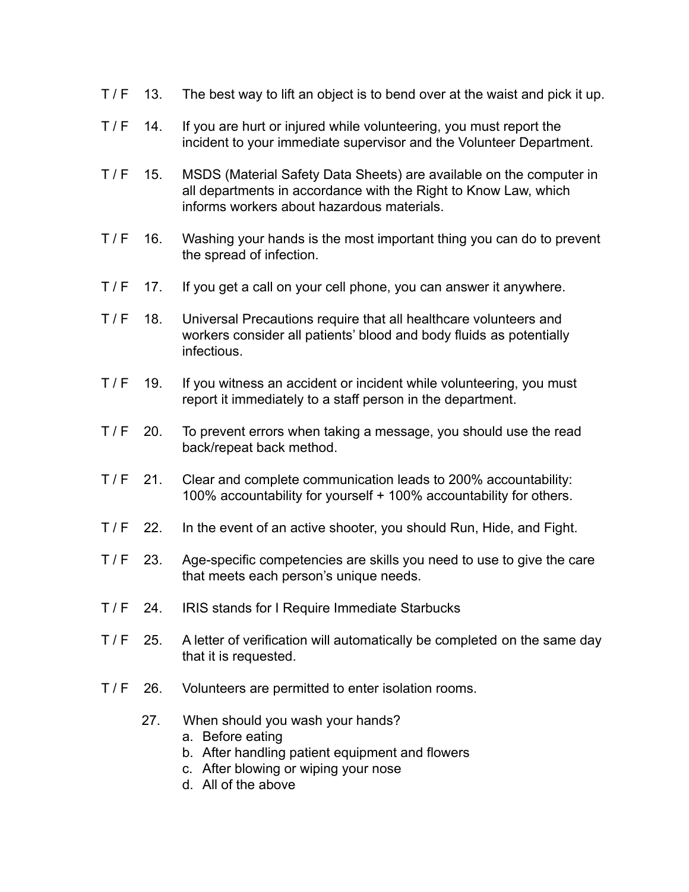- T/F 13. The best way to lift an object is to bend over at the waist and pick it up.
- T / F 14. If you are hurt or injured while volunteering, you must report the incident to your immediate supervisor and the Volunteer Department.
- T / F 15. MSDS (Material Safety Data Sheets) are available on the computer in all departments in accordance with the Right to Know Law, which informs workers about hazardous materials.
- T / F 16. Washing your hands is the most important thing you can do to prevent the spread of infection.
- T / F 17. If you get a call on your cell phone, you can answer it anywhere.
- T / F 18. Universal Precautions require that all healthcare volunteers and workers consider all patients' blood and body fluids as potentially infectious.
- T/F 19. If you witness an accident or incident while volunteering, you must report it immediately to a staff person in the department.
- T/F 20. To prevent errors when taking a message, you should use the read back/repeat back method.
- T / F 21. Clear and complete communication leads to 200% accountability: 100% accountability for yourself + 100% accountability for others.
- T / F 22. In the event of an active shooter, you should Run, Hide, and Fight.
- T / F 23. Age-specific competencies are skills you need to use to give the care that meets each person's unique needs.
- T / F 24. IRIS stands for I Require Immediate Starbucks
- T / F 25. A letter of verification will automatically be completed on the same day that it is requested.
- T / F 26. Volunteers are permitted to enter isolation rooms.
	- 27. When should you wash your hands?
		- a. Before eating
		- b. After handling patient equipment and flowers
		- c. After blowing or wiping your nose
		- d. All of the above